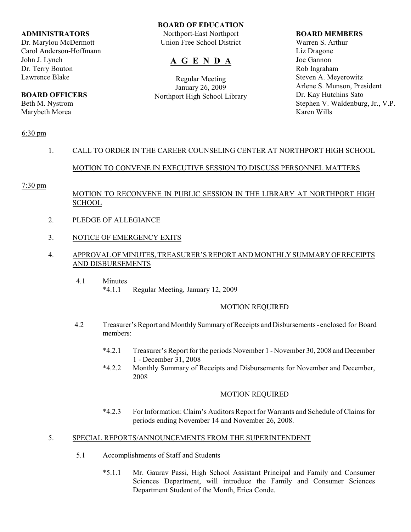### **ADMINISTRATORS**

Dr. Marylou McDermott Carol Anderson-Hoffmann John J. Lynch Dr. Terry Bouton Lawrence Blake

# **BOARD OFFICERS**

Beth M. Nystrom Marybeth Morea

### **BOARD OF EDUCATION**

Northport-East Northport Union Free School District

# **A G E N D A**

Regular Meeting January 26, 2009 Northport High School Library

### **BOARD MEMBERS**

Warren S. Arthur Liz Dragone Joe Gannon Rob Ingraham Steven A. Meyerowitz Arlene S. Munson, President Dr. Kay Hutchins Sato Stephen V. Waldenburg, Jr., V.P. Karen Wills

## 6:30 pm

# 1. CALL TO ORDER IN THE CAREER COUNSELING CENTER AT NORTHPORT HIGH SCHOOL

## MOTION TO CONVENE IN EXECUTIVE SESSION TO DISCUSS PERSONNEL MATTERS

### 7:30 pm

## MOTION TO RECONVENE IN PUBLIC SESSION IN THE LIBRARY AT NORTHPORT HIGH **SCHOOL**

- 2. PLEDGE OF ALLEGIANCE
- 3. NOTICE OF EMERGENCY EXITS

## 4. APPROVAL OF MINUTES, TREASURER'S REPORT AND MONTHLY SUMMARY OF RECEIPTS AND DISBURSEMENTS

 4.1 Minutes \*4.1.1 Regular Meeting, January 12, 2009

## MOTION REQUIRED

- 4.2 Treasurer's Report and Monthly Summary of Receipts and Disbursements enclosed for Board members:
	- \*4.2.1 Treasurer's Report for the periods November 1 November 30, 2008 and December 1 - December 31, 2008
	- \*4.2.2 Monthly Summary of Receipts and Disbursements for November and December, 2008

## MOTION REQUIRED

\*4.2.3 For Information: Claim's Auditors Report for Warrants and Schedule of Claims for periods ending November 14 and November 26, 2008.

## 5. SPECIAL REPORTS/ANNOUNCEMENTS FROM THE SUPERINTENDENT

- 5.1 Accomplishments of Staff and Students
	- \*5.1.1 Mr. Gaurav Passi, High School Assistant Principal and Family and Consumer Sciences Department, will introduce the Family and Consumer Sciences Department Student of the Month, Erica Conde.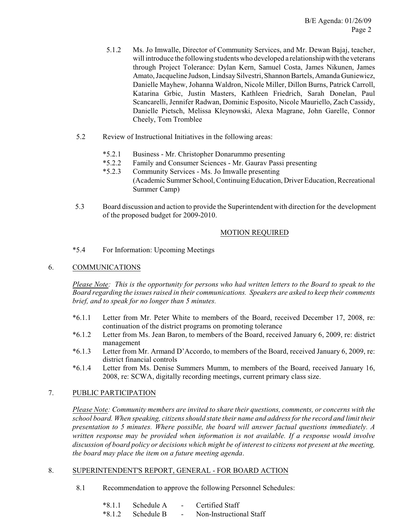- 5.1.2 Ms. Jo Imwalle, Director of Community Services, and Mr. Dewan Bajaj, teacher, will introduce the following students who developed a relationship with the veterans through Project Tolerance: Dylan Kern, Samuel Costa, James Nikunen, James Amato, Jacqueline Judson, Lindsay Silvestri, Shannon Bartels, Amanda Guniewicz, Danielle Mayhew, Johanna Waldron, Nicole Miller, Dillon Burns, Patrick Carroll, Katarina Grbic, Justin Masters, Kathleen Friedrich, Sarah Donelan, Paul Scancarelli, Jennifer Radwan, Dominic Esposito, Nicole Mauriello, Zach Cassidy, Danielle Pietsch, Melissa Kleynowski, Alexa Magrane, John Garelle, Connor Cheely, Tom Tromblee
- 5.2 Review of Instructional Initiatives in the following areas:
	- \*5.2.1 Business Mr. Christopher Donarummo presenting<br>\*5.2.2 Family and Consumer Sciences Mr. Gauray Passi
	- Family and Consumer Sciences Mr. Gaurav Passi presenting
	- \*5.2.3 Community Services Ms. Jo Imwalle presenting (Academic Summer School, Continuing Education, Driver Education, Recreational Summer Camp)
- 5.3 Board discussion and action to provide the Superintendent with direction for the development of the proposed budget for 2009-2010.

## MOTION REQUIRED

\*5.4 For Information: Upcoming Meetings

## 6. COMMUNICATIONS

*Please Note: This is the opportunity for persons who had written letters to the Board to speak to the Board regarding the issues raised in their communications. Speakers are asked to keep their comments brief, and to speak for no longer than 5 minutes.*

- \*6.1.1 Letter from Mr. Peter White to members of the Board, received December 17, 2008, re: continuation of the district programs on promoting tolerance
- \*6.1.2 Letter from Ms. Jean Baron, to members of the Board, received January 6, 2009, re: district management
- \*6.1.3 Letter from Mr. Armand D'Accordo, to members of the Board, received January 6, 2009, re: district financial controls
- \*6.1.4 Letter from Ms. Denise Summers Mumm, to members of the Board, received January 16, 2008, re: SCWA, digitally recording meetings, current primary class size.

## 7. PUBLIC PARTICIPATION

*Please Note: Community members are invited to share their questions, comments, or concerns with the school board. When speaking, citizens should state their name and address for the record and limit their presentation to 5 minutes. Where possible, the board will answer factual questions immediately. A written response may be provided when information is not available. If a response would involve discussion of board policy or decisions which might be of interest to citizens not present at the meeting, the board may place the item on a future meeting agenda*.

## 8. SUPERINTENDENT'S REPORT, GENERAL - FOR BOARD ACTION

8.1 Recommendation to approve the following Personnel Schedules:

| $*8.1.1$ | - Schedule A |                          | Certified Staff         |
|----------|--------------|--------------------------|-------------------------|
| $*8.1.2$ | - Schedule B | $\overline{\phantom{0}}$ | Non-Instructional Staff |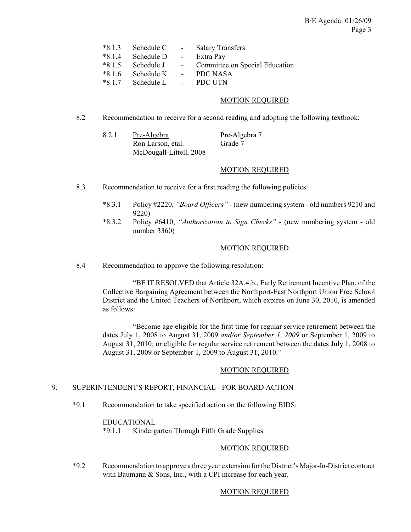| $*8.1.3$ | Schedule C | $\sim$            | <b>Salary Transfers</b>        |
|----------|------------|-------------------|--------------------------------|
| $*814$   | Schedule D | $\sim$ $-$        | Extra Pay                      |
| $*8.1.5$ | Schedule J | $\sim$ $-$        | Committee on Special Education |
| $*8.1.6$ | Schedule K |                   | - PDC NASA                     |
| $*817$   | Schedule L | $\sim$ 100 $\sim$ | <b>PDC UTN</b>                 |

### MOTION REQUIRED

- 8.2 Recommendation to receive for a second reading and adopting the following textbook:
	- 8.2.1 Pre-Algebra Pre-Algebra 7 Ron Larson, etal. Grade 7 McDougall-Littell, 2008

## MOTION REQUIRED

- 8.3 Recommendation to receive for a first reading the following policies:
	- \*8.3.1 Policy #2220, *"Board Officers"* (new numbering system old numbers 9210 and 9220)
	- \*8.3.2 Policy #6410, *"Authorization to Sign Checks"*  (new numbering system old number 3360)

### MOTION REQUIRED

8.4 Recommendation to approve the following resolution:

"BE IT RESOLVED that Article 32A.4.b., Early Retirement Incentive Plan, of the Collective Bargaining Agreement between the Northport-East Northport Union Free School District and the United Teachers of Northport, which expires on June 30, 2010, is amended as follows:

"Become age eligible for the first time for regular service retirement between the dates July 1, 2008 to August 31, 2009 *and/or September 1, 2009* or September 1, 2009 to August 31, 2010; or eligible for regular service retirement between the dates July 1, 2008 to August 31, 2009 or September 1, 2009 to August 31, 2010."

### MOTION REQUIRED

### 9. SUPERINTENDENT'S REPORT, FINANCIAL - FOR BOARD ACTION

\*9.1 Recommendation to take specified action on the following BIDS:

#### EDUCATIONAL

\*9.1.1 Kindergarten Through Fifth Grade Supplies

### MOTION REQUIRED

\*9.2 Recommendation to approve a three year extension for the District's Major-In-District contract with Baumann & Sons, Inc., with a CPI increase for each year.

### MOTION REQUIRED